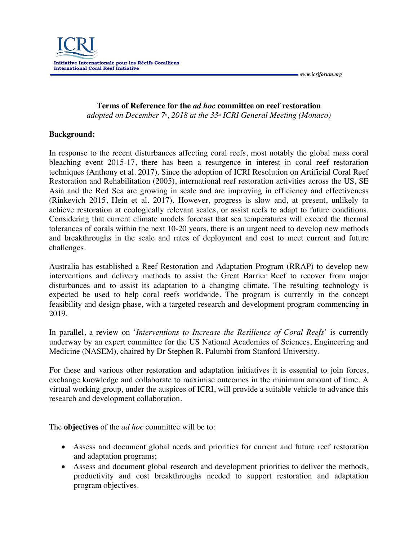*www.icriforum.org* 

**Terms of Reference for the** *ad hoc* **committee on reef restoration** *adopted on December 7<sup>\*</sup>, 2018 at the 33<sup>-<i>d*</sup> *ICRI General Meeting (Monaco)* 

## **Background:**

In response to the recent disturbances affecting coral reefs, most notably the global mass coral bleaching event 2015-17, there has been a resurgence in interest in coral reef restoration techniques (Anthony et al. 2017). Since the adoption of ICRI Resolution on Artificial Coral Reef Restoration and Rehabilitation (2005), international reef restoration activities across the US, SE Asia and the Red Sea are growing in scale and are improving in efficiency and effectiveness (Rinkevich 2015, Hein et al. 2017). However, progress is slow and, at present, unlikely to achieve restoration at ecologically relevant scales, or assist reefs to adapt to future conditions. Considering that current climate models forecast that sea temperatures will exceed the thermal tolerances of corals within the next 10-20 years, there is an urgent need to develop new methods and breakthroughs in the scale and rates of deployment and cost to meet current and future challenges.

Australia has established a Reef Restoration and Adaptation Program (RRAP) to develop new interventions and delivery methods to assist the Great Barrier Reef to recover from major disturbances and to assist its adaptation to a changing climate. The resulting technology is expected be used to help coral reefs worldwide. The program is currently in the concept feasibility and design phase, with a targeted research and development program commencing in 2019.

In parallel, a review on '*Interventions to Increase the Resilience of Coral Reefs*' is currently underway by an expert committee for the US National Academies of Sciences, Engineering and Medicine (NASEM), chaired by Dr Stephen R. Palumbi from Stanford University.

For these and various other restoration and adaptation initiatives it is essential to join forces, exchange knowledge and collaborate to maximise outcomes in the minimum amount of time. A virtual working group, under the auspices of ICRI, will provide a suitable vehicle to advance this research and development collaboration.

The **objectives** of the *ad hoc* committee will be to:

- Assess and document global needs and priorities for current and future reef restoration and adaptation programs;
- Assess and document global research and development priorities to deliver the methods, productivity and cost breakthroughs needed to support restoration and adaptation program objectives.